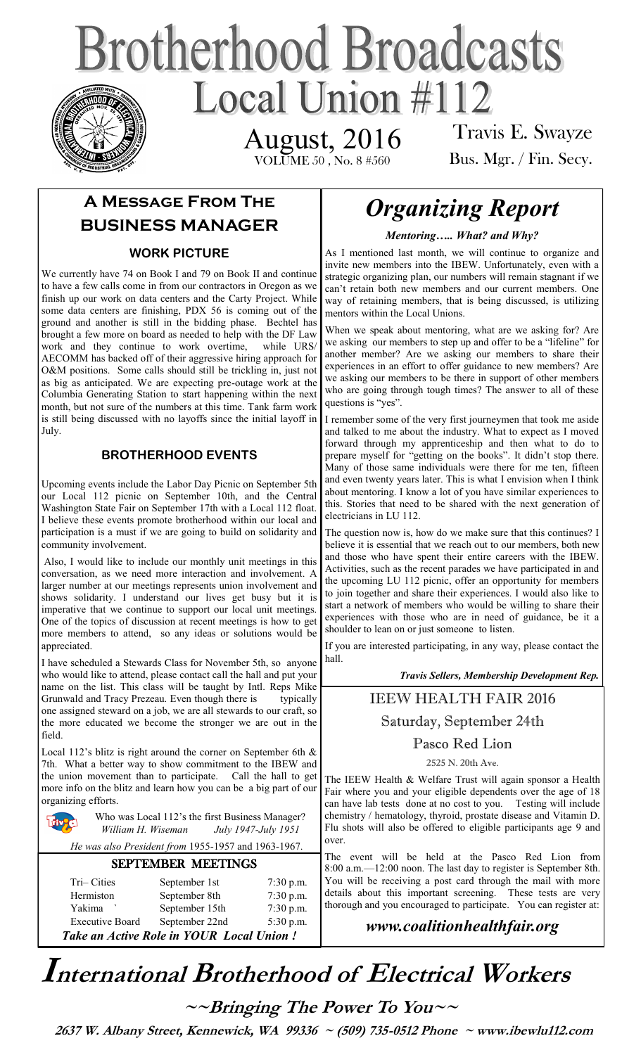# **Brotherhood Broadcasts** Local Union  $\#112$ August, 2016

VOLUME 50 , No. 8 #560

Travis E. Swayze Bus. Mgr. / Fin. Secy.

## **A Message From The BUSINESS MANAGER**

#### **WORK PICTURE**

We currently have 74 on Book I and 79 on Book II and continue to have a few calls come in from our contractors in Oregon as we finish up our work on data centers and the Carty Project. While some data centers are finishing, PDX 56 is coming out of the ground and another is still in the bidding phase. Bechtel has brought a few more on board as needed to help with the DF Law work and they continue to work overtime, while URS/ AECOMM has backed off of their aggressive hiring approach for O&M positions. Some calls should still be trickling in, just not as big as anticipated. We are expecting pre-outage work at the Columbia Generating Station to start happening within the next month, but not sure of the numbers at this time. Tank farm work is still being discussed with no layoffs since the initial layoff in July.

#### **BROTHERHOOD EVENTS**

Upcoming events include the Labor Day Picnic on September 5th our Local 112 picnic on September 10th, and the Central Washington State Fair on September 17th with a Local 112 float. I believe these events promote brotherhood within our local and participation is a must if we are going to build on solidarity and community involvement.

Also, I would like to include our monthly unit meetings in this conversation, as we need more interaction and involvement. A larger number at our meetings represents union involvement and shows solidarity. I understand our lives get busy but it is imperative that we continue to support our local unit meetings. One of the topics of discussion at recent meetings is how to get more members to attend, so any ideas or solutions would be appreciated.

I have scheduled a Stewards Class for November 5th, so anyone who would like to attend, please contact call the hall and put your name on the list. This class will be taught by Intl. Reps Mike Grunwald and Tracy Prezeau. Even though there is typically one assigned steward on a job, we are all stewards to our craft, so the more educated we become the stronger we are out in the field.

Local 112's blitz is right around the corner on September 6th & 7th. What a better way to show commitment to the IBEW and the union movement than to participate. Call the hall to get more info on the blitz and learn how you can be a big part of our organizing efforts.

Who was Local 112's the first Business Manager? *William H. Wiseman July 1947-July 1951*

 *He was also President from* 1955-1957 and 1963-1967.

#### SEPTEMBER MEETINGS

| Tri-Cities                               | September 1st  | $7:30$ p.m. |
|------------------------------------------|----------------|-------------|
| Hermiston                                | September 8th  | $7:30$ p.m. |
| Yakima                                   | September 15th | $7:30$ p.m. |
| <b>Executive Board</b>                   | September 22nd | 5:30 p.m.   |
| Take an Active Role in YOUR Local Union! |                |             |

# *Organizing Report*

*Mentoring….. What? and Why?*

As I mentioned last month, we will continue to organize and invite new members into the IBEW. Unfortunately, even with a strategic organizing plan, our numbers will remain stagnant if we can't retain both new members and our current members. One way of retaining members, that is being discussed, is utilizing mentors within the Local Unions.

When we speak about mentoring, what are we asking for? Are we asking our members to step up and offer to be a "lifeline" for another member? Are we asking our members to share their experiences in an effort to offer guidance to new members? Are we asking our members to be there in support of other members who are going through tough times? The answer to all of these questions is "yes".

I remember some of the very first journeymen that took me aside and talked to me about the industry. What to expect as I moved forward through my apprenticeship and then what to do to prepare myself for "getting on the books". It didn't stop there. Many of those same individuals were there for me ten, fifteen and even twenty years later. This is what I envision when I think about mentoring. I know a lot of you have similar experiences to this. Stories that need to be shared with the next generation of electricians in LU 112.

The question now is, how do we make sure that this continues? I believe it is essential that we reach out to our members, both new and those who have spent their entire careers with the IBEW. Activities, such as the recent parades we have participated in and the upcoming LU 112 picnic, offer an opportunity for members to join together and share their experiences. I would also like to start a network of members who would be willing to share their experiences with those who are in need of guidance, be it a shoulder to lean on or just someone to listen.

If you are interested participating, in any way, please contact the hall.

*Travis Sellers, Membership Development Rep.* 

#### IEEW HEALTH FAIR 2016

Saturday, September 24th

#### Pasco Red Lion

2525 N. 20th Ave.

The IEEW Health & Welfare Trust will again sponsor a Health Fair where you and your eligible dependents over the age of 18 can have lab tests done at no cost to you. Testing will include chemistry / hematology, thyroid, prostate disease and Vitamin D. Flu shots will also be offered to eligible participants age 9 and over.

The event will be held at the Pasco Red Lion from 8:00 a.m.—12:00 noon. The last day to register is September 8th. You will be receiving a post card through the mail with more details about this important screening. These tests are very thorough and you encouraged to participate. You can register at:

### *www.coalitionhealthfair.org*

# **International Brotherhood of <sup>E</sup>lectrical Workers**

**~~Bringing The Power To You~~** 

 **2637 W. Albany Street, Kennewick, WA 99336 ~ (509) 735-0512 Phone ~ www.ibewlu112.com**